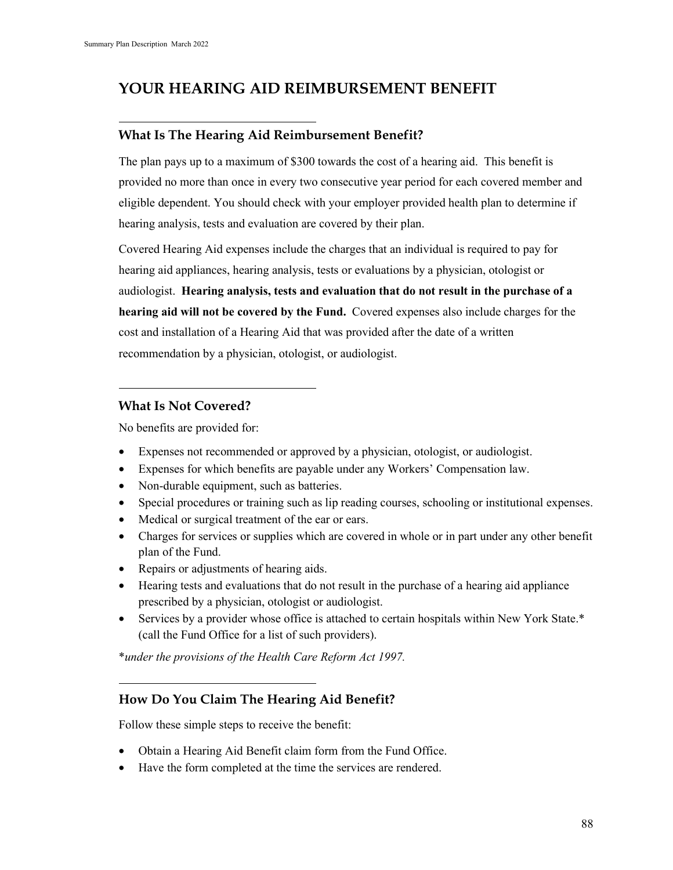## **YOUR HEARING AID REIMBURSEMENT BENEFIT**

## **What Is The Hearing Aid Reimbursement Benefit?**

The plan pays up to a maximum of \$300 towards the cost of a hearing aid. This benefit is provided no more than once in every two consecutive year period for each covered member and eligible dependent. You should check with your employer provided health plan to determine if hearing analysis, tests and evaluation are covered by their plan.

Covered Hearing Aid expenses include the charges that an individual is required to pay for hearing aid appliances, hearing analysis, tests or evaluations by a physician, otologist or audiologist. **Hearing analysis, tests and evaluation that do not result in the purchase of a hearing aid will not be covered by the Fund.** Covered expenses also include charges for the cost and installation of a Hearing Aid that was provided after the date of a written recommendation by a physician, otologist, or audiologist.

## **What Is Not Covered?**

No benefits are provided for:

- Expenses not recommended or approved by a physician, otologist, or audiologist.
- Expenses for which benefits are payable under any Workers' Compensation law.
- Non-durable equipment, such as batteries.
- Special procedures or training such as lip reading courses, schooling or institutional expenses.
- Medical or surgical treatment of the ear or ears.
- Charges for services or supplies which are covered in whole or in part under any other benefit plan of the Fund.
- Repairs or adjustments of hearing aids.
- Hearing tests and evaluations that do not result in the purchase of a hearing aid appliance prescribed by a physician, otologist or audiologist.
- Services by a provider whose office is attached to certain hospitals within New York State.\* (call the Fund Office for a list of such providers).

\**under the provisions of the Health Care Reform Act 1997.*

## **How Do You Claim The Hearing Aid Benefit?**

Follow these simple steps to receive the benefit:

- Obtain a Hearing Aid Benefit claim form from the Fund Office.
- Have the form completed at the time the services are rendered.